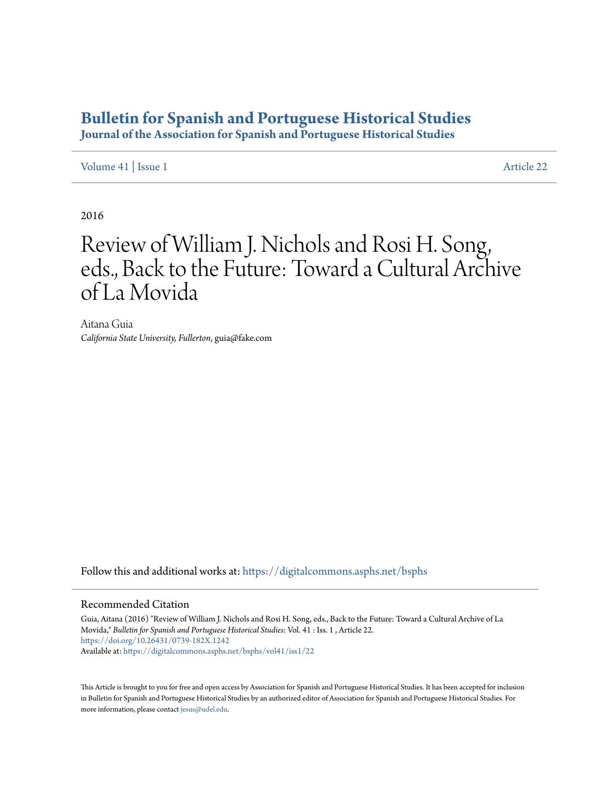# **[Bulletin for Spanish and Portuguese Historical Studies](https://digitalcommons.asphs.net/bsphs?utm_source=digitalcommons.asphs.net%2Fbsphs%2Fvol41%2Fiss1%2F22&utm_medium=PDF&utm_campaign=PDFCoverPages)**

**Journal of the Association for Spanish and Portuguese Historical Studies**

[Volume 41](https://digitalcommons.asphs.net/bsphs/vol41?utm_source=digitalcommons.asphs.net%2Fbsphs%2Fvol41%2Fiss1%2F22&utm_medium=PDF&utm_campaign=PDFCoverPages) | [Issue 1](https://digitalcommons.asphs.net/bsphs/vol41/iss1?utm_source=digitalcommons.asphs.net%2Fbsphs%2Fvol41%2Fiss1%2F22&utm_medium=PDF&utm_campaign=PDFCoverPages) [Article 22](https://digitalcommons.asphs.net/bsphs/vol41/iss1/22?utm_source=digitalcommons.asphs.net%2Fbsphs%2Fvol41%2Fiss1%2F22&utm_medium=PDF&utm_campaign=PDFCoverPages)

2016

# Review of William J. Nichols and Rosi H. Song, eds., Back to the Future: Toward a Cultural Archive of La Movida

Aitana Guia *California State University, Fullerton*, guia@fake.com

Follow this and additional works at: [https://digitalcommons.asphs.net/bsphs](https://digitalcommons.asphs.net/bsphs?utm_source=digitalcommons.asphs.net%2Fbsphs%2Fvol41%2Fiss1%2F22&utm_medium=PDF&utm_campaign=PDFCoverPages)

#### Recommended Citation

Guia, Aitana (2016) "Review of William J. Nichols and Rosi H. Song, eds., Back to the Future: Toward a Cultural Archive of La Movida," *Bulletin for Spanish and Portuguese Historical Studies*: Vol. 41 : Iss. 1 , Article 22. <https://doi.org/10.26431/0739-182X.1242> Available at: [https://digitalcommons.asphs.net/bsphs/vol41/iss1/22](https://digitalcommons.asphs.net/bsphs/vol41/iss1/22?utm_source=digitalcommons.asphs.net%2Fbsphs%2Fvol41%2Fiss1%2F22&utm_medium=PDF&utm_campaign=PDFCoverPages)

This Article is brought to you for free and open access by Association for Spanish and Portuguese Historical Studies. It has been accepted for inclusion in Bulletin for Spanish and Portuguese Historical Studies by an authorized editor of Association for Spanish and Portuguese Historical Studies. For more information, please contact [jesus@udel.edu](mailto:jesus@udel.edu).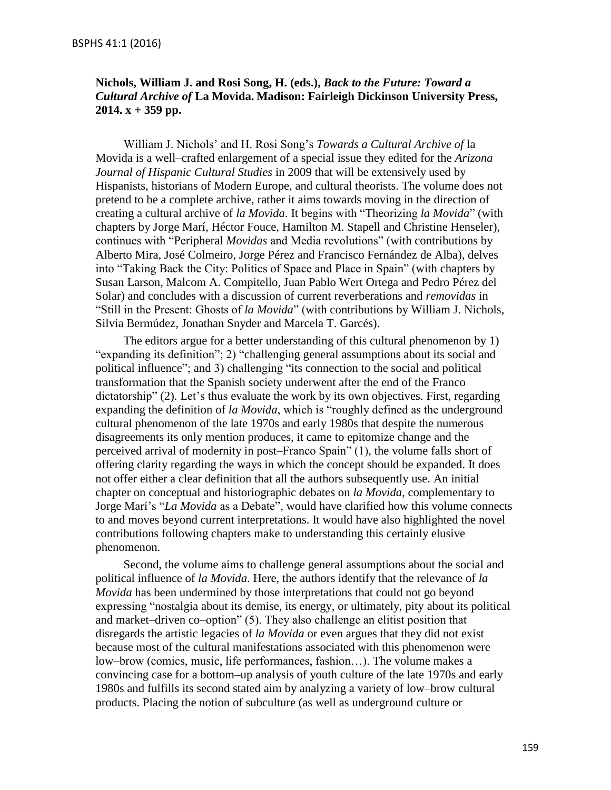### **Nichols, William J. and Rosi Song, H. (eds.),** *Back to the Future: Toward a Cultural Archive of* **La Movida. Madison: Fairleigh Dickinson University Press, 2014. x + 359 pp.**

William J. Nichols' and H. Rosi Song's *Towards a Cultural Archive of* la Movida is a well–crafted enlargement of a special issue they edited for the *Arizona Journal of Hispanic Cultural Studies* in 2009 that will be extensively used by Hispanists, historians of Modern Europe, and cultural theorists. The volume does not pretend to be a complete archive, rather it aims towards moving in the direction of creating a cultural archive of *la Movida*. It begins with "Theorizing *la Movida*" (with chapters by Jorge Marí, Héctor Fouce, Hamilton M. Stapell and Christine Henseler), continues with "Peripheral *Movidas* and Media revolutions" (with contributions by Alberto Mira, José Colmeiro, Jorge Pérez and Francisco Fernández de Alba), delves into "Taking Back the City: Politics of Space and Place in Spain" (with chapters by Susan Larson, Malcom A. Compitello, Juan Pablo Wert Ortega and Pedro Pérez del Solar) and concludes with a discussion of current reverberations and *removidas* in "Still in the Present: Ghosts of *la Movida*" (with contributions by William J. Nichols, Silvia Bermúdez, Jonathan Snyder and Marcela T. Garcés).

The editors argue for a better understanding of this cultural phenomenon by 1) "expanding its definition"; 2) "challenging general assumptions about its social and political influence"; and 3) challenging "its connection to the social and political transformation that the Spanish society underwent after the end of the Franco dictatorship" (2). Let's thus evaluate the work by its own objectives. First, regarding expanding the definition of *la Movida*, which is "roughly defined as the underground cultural phenomenon of the late 1970s and early 1980s that despite the numerous disagreements its only mention produces, it came to epitomize change and the perceived arrival of modernity in post–Franco Spain" (1), the volume falls short of offering clarity regarding the ways in which the concept should be expanded. It does not offer either a clear definition that all the authors subsequently use. An initial chapter on conceptual and historiographic debates on *la Movida*, complementary to Jorge Marí's "*La Movida* as a Debate", would have clarified how this volume connects to and moves beyond current interpretations. It would have also highlighted the novel contributions following chapters make to understanding this certainly elusive phenomenon.

Second, the volume aims to challenge general assumptions about the social and political influence of *la Movida*. Here, the authors identify that the relevance of *la Movida* has been undermined by those interpretations that could not go beyond expressing "nostalgia about its demise, its energy, or ultimately, pity about its political and market–driven co–option" (5). They also challenge an elitist position that disregards the artistic legacies of *la Movida* or even argues that they did not exist because most of the cultural manifestations associated with this phenomenon were low–brow (comics, music, life performances, fashion…). The volume makes a convincing case for a bottom–up analysis of youth culture of the late 1970s and early 1980s and fulfills its second stated aim by analyzing a variety of low–brow cultural products. Placing the notion of subculture (as well as underground culture or